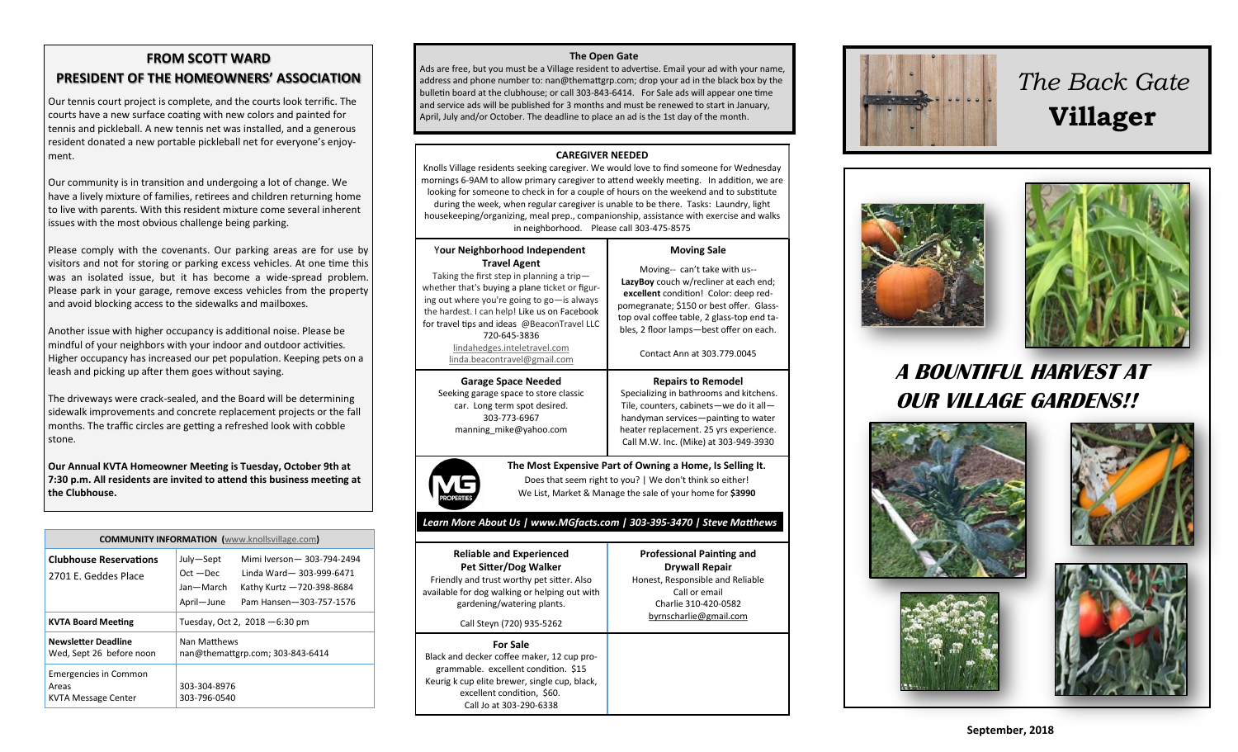## **FROM SCOTT WARD PRESIDENT OF THE HOMEOWNERS' ASSOCIATION**

Our tennis court project is complete, and the courts look terrific. The courts have a new surface coating with new colors and painted for tennis and pickleball. A new tennis net was installed, and a generous resident donated a new portable pickleball net for everyone's enjoy ment.

Our community is in transition and undergoing a lot of change. We have a lively mixture of families, retirees and children returning home to live with parents. With this resident mixture come several inherent issues with the most obvious challenge being parking.

Please comply with the covenants. Our parking areas are for use by visitors and not for storing or parking excess vehicles. At one time this was an isolated issue, but it has become a wide-spread problem. Please park in your garage, remove excess vehicles from the property and avoid blocking access to the sidewalks and mailboxes.

Another issue with higher occupancy is additional noise. Please be mindful of your neighbors with your indoor and outdoor activities. Higher occupancy has increased our pet population. Keeping pets on a leash and picking up after them goes without saying.

The driveways were crack-sealed, and the Board will be determining sidewalk improvements and concrete replacement projects or the fall months. The traffic circles are getting a refreshed look with cobble stone.

**Our Annual KVTA Homeowner Meeting is Tuesday, October 9th at 7:30 p.m. All residents are invited to attend this business meeting at the Clubhouse.**

| <b>COMMUNITY INFORMATION</b> (www.knollsvillage.com)         |                                                     |                                                                                                                |
|--------------------------------------------------------------|-----------------------------------------------------|----------------------------------------------------------------------------------------------------------------|
| <b>Clubhouse Reservations</b><br>2701 E. Geddes Place        | July-Sept<br>$Oct - Dec$<br>Jan-March<br>April-June | Mimi Iverson - 303-794-2494<br>Linda Ward-303-999-6471<br>Kathy Kurtz -720-398-8684<br>Pam Hansen-303-757-1576 |
| <b>KVTA Board Meeting</b>                                    | Tuesday, Oct 2, $2018 - 6:30$ pm                    |                                                                                                                |
| <b>Newsletter Deadline</b><br>Wed, Sept 26 before noon       | Nan Matthews<br>nan@themattgrp.com; 303-843-6414    |                                                                                                                |
| <b>Emergencies in Common</b><br>Areas<br>KVTA Message Center | 303-304-8976<br>303-796-0540                        |                                                                                                                |

### **The Open Gate**

Ads are free, but you must be a Village resident to advertise. Email your ad with your name, address and phone number to: nan@themattgrp.com; drop your ad in the black box by the bulletin board at the clubhouse; or call 303-843-6414. For Sale ads will appear one time and service ads will be published for 3 months and must be renewed to start in January, April, July and/or October. The deadline to place an ad is the 1st day of the month.

### **CAREGIVER NEEDED**

Knolls Village residents seeking caregiver. We would love to find someone for Wednesday mornings 6-9AM to allow primary caregiver to attend weekly meeting. In addition, we are looking for someone to check in for a couple of hours on the weekend and to substitute during the week, when regular caregiver is unable to be there. Tasks: Laundry, light housekeeping/organizing, meal prep., companionship, assistance with exercise and walks in neighborhood. Please call 303-475-8575

#### Y**our Neighborhood Independent Travel Agent** Taking the first step in planning a trip whether that's buying a plane ticket or figur

ing out where you're going to go—is always the hardest. I can help! Like us on Facebook for travel tips and ideas @BeaconTravel LLC 720-645-3836

> [lindahedges.inteletravel.com](http://lindahedges.inteletravel.com) [linda.beacontravel@gmail.com](mailto:linda.beacontravel@gmail.com)

**Garage Space Needed** Seeking garage space to store classic car. Long term spot desired. 303-773-[6967](tel:303-773-6967) [manning\\_mike@yahoo.com](mailto:manning_mike@yahoo.com)



**The Most Expensive Part of Owning a Home, Is Selling It.** Does that seem right to you? | We don't think so either! We List, Market & Manage the sale of your home for **\$3990**

**Moving Sale** Moving-- can't take with us-- **LazyBoy** couch w/recliner at each end; **excellent** condition! Color: deep redpomegranate; \$150 or best offer. Glasstop oval coffee table, 2 glass-top end ta bles, 2 floor lamps—best offer on each. Contact Ann at 303.779.0045

**Repairs to Remodel** Specializing in bathrooms and kitchens. Tile, counters, cabinets—we do it all handyman services—painting to water heater replacement. 25 yrs experience. Call M.W. Inc. (Mike) at 303-949-3930

**Professional Painting and Drywall Repair** Honest, Responsible and Reliable Call or email Charlie 310-420-0582 [byrnscharlie@gmail.com](mailto:byrnscharlie@gmail.com)

### *Learn More About Us | www.MGfacts.com | 303-395-3470 | Steve Matthews*

**Reliable and Experienced Pet Sitter/Dog Walker** Friendly and trust worthy pet sitter. Also available for dog walking or helping out with gardening/watering plants. Call Steyn (720) 935-5262

#### **For Sale**

Black and decker coffee maker, 12 cup pro grammable. excellent condition. \$15 Keurig k cup elite brewer, single cup, black, excellent condition, \$60. Call Jo at 303-290-6338



# *The Back Gate*  **Villager**





## **A BOUNTIFUL HARVEST AT OUR VILLAGE GARDENS!!**